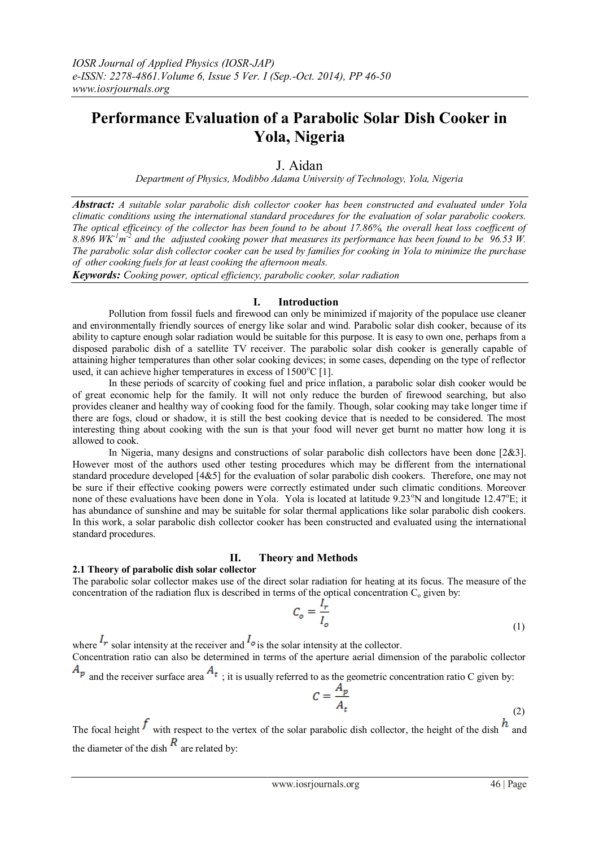# **Performance Evaluation of a Parabolic Solar Dish Cooker in Yola, Nigeria**

# J. Aidan

*Department of Physics, Modibbo Adama University of Technology, Yola, Nigeria*

*Abstract: A suitable solar parabolic dish collector cooker has been constructed and evaluated under Yola climatic conditions using the international standard procedures for the evaluation of solar parabolic cookers. The optical efficeincy of the collector has been found to be about 17.86%, the overall heat loss coefficent of*  8.896  $W K<sup>-1</sup> m<sup>-2</sup>$  and the adjusted cooking power that measures its performance has been found to be  $96.53$  W. *The parabolic solar dish collector cooker can be used by families for cooking in Yola to minimize the purchase of other cooking fuels for at least cooking the afternoon meals.*

*Keywords: Cooking power, optical efficiency, parabolic cooker, solar radiation*

### **I. Introduction**

Pollution from fossil fuels and firewood can only be minimized if majority of the populace use cleaner and environmentally friendly sources of energy like solar and wind. Parabolic solar dish cooker, because of its ability to capture enough solar radiation would be suitable for this purpose. It is easy to own one, perhaps from a disposed parabolic dish of a satellite TV receiver. The parabolic solar dish cooker is generally capable of attaining higher temperatures than other solar cooking devices; in some cases, depending on the type of reflector used, it can achieve higher temperatures in excess of  $1500^{\circ}$ C [1].

In these periods of scarcity of cooking fuel and price inflation, a parabolic solar dish cooker would be of great economic help for the family. It will not only reduce the burden of firewood searching, but also provides cleaner and healthy way of cooking food for the family. Though, solar cooking may take longer time if there are fogs, cloud or shadow, it is still the best cooking device that is needed to be considered. The most interesting thing about cooking with the sun is that your food will never get burnt no matter how long it is allowed to cook.

In Nigeria, many designs and constructions of solar parabolic dish collectors have been done [2&3]. However most of the authors used other testing procedures which may be different from the international standard procedure developed [4&5] for the evaluation of solar parabolic dish cookers. Therefore, one may not be sure if their effective cooking powers were correctly estimated under such climatic conditions. Moreover none of these evaluations have been done in Yola. Yola is located at latitude 9.23°N and longitude 12.47°E; it has abundance of sunshine and may be suitable for solar thermal applications like solar parabolic dish cookers. In this work, a solar parabolic dish collector cooker has been constructed and evaluated using the international standard procedures.

# **II. Theory and Methods**

#### **2.1 Theory of parabolic dish solar collector**

The parabolic solar collector makes use of the direct solar radiation for heating at its focus. The measure of the concentration of the radiation flux is described in terms of the optical concentration  $C_0$  given by:

$$
C_o = \frac{I_r}{I_o} \tag{1}
$$

where  $\frac{I_r}{I_r}$  solar intensity at the receiver and  $\frac{I_o}{I_s}$  is the solar intensity at the collector. Concentration ratio can also be determined in terms of the aperture aerial dimension of the parabolic collector

 $A_p$  and the receiver surface area  $A_t$ ; it is usually referred to as the geometric concentration ratio C given by:

$$
C = \frac{A_p}{A_t} \tag{2}
$$

The focal height  $f$  with respect to the vertex of the solar parabolic dish collector, the height of the dish  $h$  and the diameter of the dish  $\frac{R}{\text{}}$  are related by:

 $\overline{c}$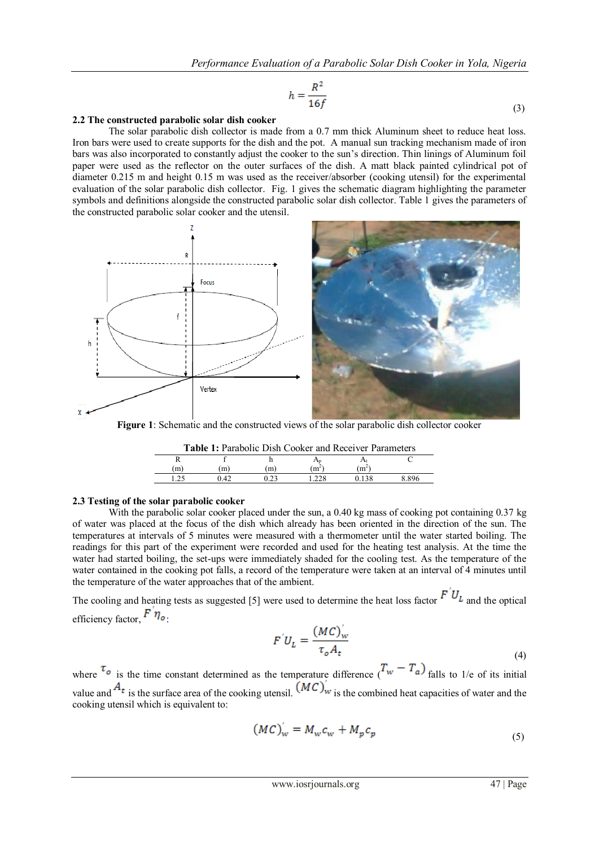$$
h = \frac{R^2}{16f}
$$
 (3)

### **2.2 The constructed parabolic solar dish cooker**

The solar parabolic dish collector is made from a 0.7 mm thick Aluminum sheet to reduce heat loss. Iron bars were used to create supports for the dish and the pot. A manual sun tracking mechanism made of iron bars was also incorporated to constantly adjust the cooker to the sun's direction. Thin linings of Aluminum foil paper were used as the reflector on the outer surfaces of the dish. A matt black painted cylindrical pot of diameter 0.215 m and height 0.15 m was used as the receiver/absorber (cooking utensil) for the experimental evaluation of the solar parabolic dish collector. Fig. 1 gives the schematic diagram highlighting the parameter symbols and definitions alongside the constructed parabolic solar dish collector. Table 1 gives the parameters of the constructed parabolic solar cooker and the utensil.



**Figure 1**: Schematic and the constructed views of the solar parabolic dish collector cooker

| <b>Table 1:</b> Parabolic Dish Cooker and Receiver Parameters |      |    |         |            |       |  |  |
|---------------------------------------------------------------|------|----|---------|------------|-------|--|--|
|                                                               |      |    |         |            |       |  |  |
| (m)                                                           | (m)  | m) | $(m^2)$ | $\rm{m}^2$ |       |  |  |
|                                                               | 1.42 |    |         |            | 8.896 |  |  |

#### **2.3 Testing of the solar parabolic cooker**

With the parabolic solar cooker placed under the sun, a 0.40 kg mass of cooking pot containing 0.37 kg of water was placed at the focus of the dish which already has been oriented in the direction of the sun. The temperatures at intervals of 5 minutes were measured with a thermometer until the water started boiling. The readings for this part of the experiment were recorded and used for the heating test analysis. At the time the water had started boiling, the set-ups were immediately shaded for the cooling test. As the temperature of the water contained in the cooking pot falls, a record of the temperature were taken at an interval of 4 minutes until the temperature of the water approaches that of the ambient.

The cooling and heating tests as suggested [5] were used to determine the heat loss factor  $F^{U_L}$  and the optical efficiency factor,  $F \eta_o$ .

$$
F^{'}U_L = \frac{(MC)_{w}^{'}}{\tau_o A_t}
$$
\n<sup>(4)</sup>

where  $\tau_{\circ}$  is the time constant determined as the temperature difference  $(T_{w} - T_{a})$  falls to 1/e of its initial value and  $A_t$  is the surface area of the cooking utensil.  $(MC)_w$  is the combined heat capacities of water and the cooking utensil which is equivalent to:

$$
(MC)_w' = M_w c_w + M_p c_p \tag{5}
$$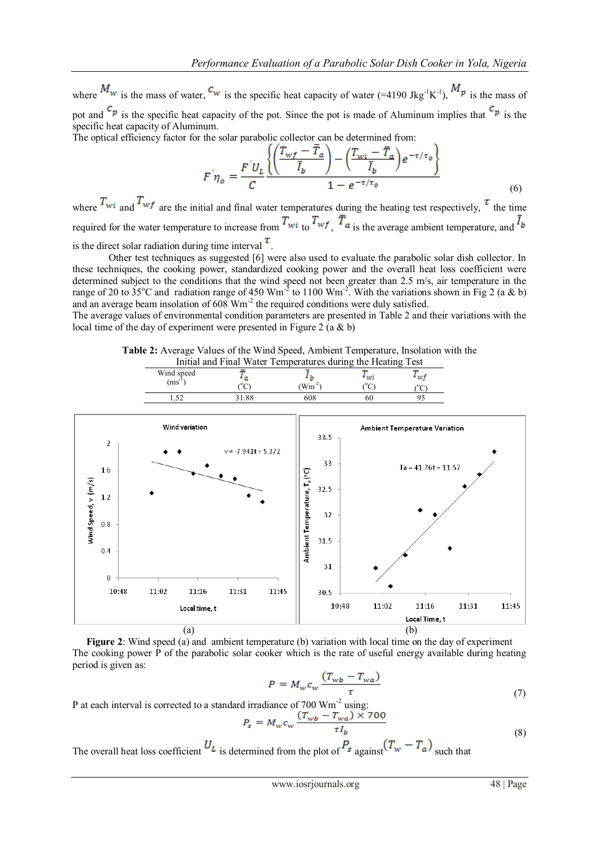where  $\frac{M_w}{m}$  is the mass of water,  $\frac{C_w}{m}$  is the specific heat capacity of water (=4190 Jkg<sup>-1</sup>K<sup>-1</sup>),  $\frac{M_w}{m}$  is the mass of pot and  $\binom{c_p}{r}$  is the specific heat capacity of the pot. Since the pot is made of Aluminum implies that  $\binom{c_p}{r}$  is the specific heat capacity of Aluminum.

The optical efficiency factor for the solar parabolic collector can be determined from:

$$
F\eta_o = \frac{F'U_L}{C} \frac{\left\{ \left( \frac{T_{wf} - T_a}{\bar{I}_b} \right) - \left( \frac{T_{wi} - \bar{T}_a}{\bar{I}_b} \right) e^{-\tau/\tau_o} \right\}}{1 - e^{-\tau/\tau_o}}
$$
(6)

where  $T_{wi}$  and  $T_{wf}$  are the initial and final water temperatures during the heating test respectively,  $\tau$  the time required for the water temperature to increase from  $T_{wi}$  to  $T_{wf}$ ,  $\overline{T}_{a}$  is the average ambient temperature, and  $\overline{I}_{b}$ is the direct solar radiation during time interval  $\tau$ .

Other test techniques as suggested [6] were also used to evaluate the parabolic solar dish collector. In these techniques, the cooking power, standardized cooking power and the overall heat loss coefficient were determined subject to the conditions that the wind speed not been greater than 2.5 m/s, air temperature in the range of 20 to  $35^{\circ}$ C and radiation range of 450 Wm<sup>-2</sup> to 1100 Wm<sup>-2</sup>. With the variations shown in Fig 2 (a & b) and an average beam insolation of 608 Wm<sup>-2</sup> the required conditions were duly satisfied.

The average values of environmental condition parameters are presented in Table 2 and their variations with the local time of the day of experiment were presented in Figure 2 (a & b)



| ---------<br>----- |                |           | -----<br>---------<br>$\sqrt{2}$ | - - - - |
|--------------------|----------------|-----------|----------------------------------|---------|
| Wind speed         |                |           | --                               |         |
| $(ms^{-1})$        | ◡              | Wm<br>-45 | ◡                                |         |
| $\sim$             | $\circ$<br>0٥. | 08        | 5U                               |         |
|                    |                |           |                                  |         |



**Figure 2**: Wind speed (a) and ambient temperature (b) variation with local time on the day of experiment The cooking power P of the parabolic solar cooker which is the rate of useful energy available during heating period is given as:

$$
P = M_{\rm w} c_{\rm w} \frac{(T_{\rm w} - T_{\rm w} a)}{\tau}
$$
 (7)

P at each interval is corrected to a standard irradiance of 700 Wm<sup>-2</sup> using:

$$
P_s = M_w c_w \frac{(I_{wb} - I_{wa}) \times 700}{\tau I_b}
$$
\n(8)

The overall heat loss coefficient  $U_L$  is determined from the plot of  $P_s$  against  $(T_w - T_a)$  such that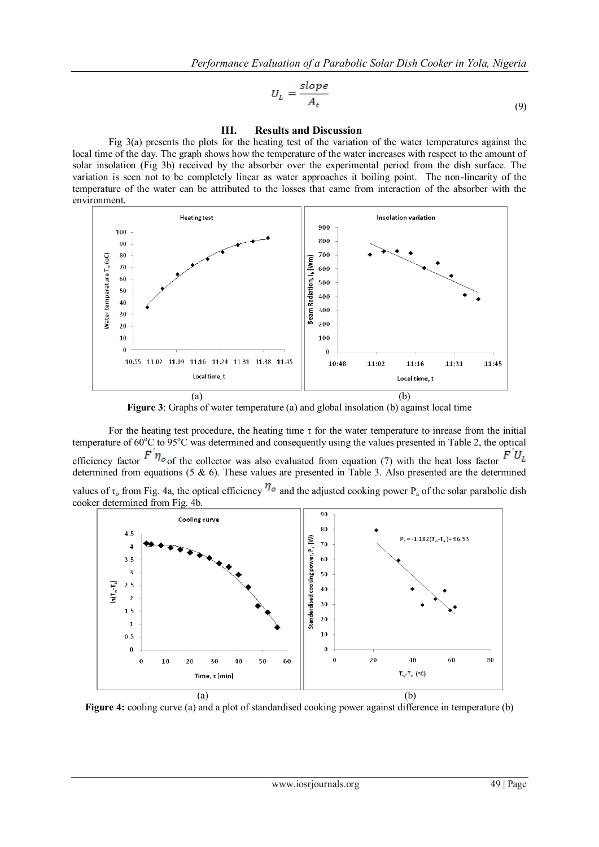$$
U_L = \frac{slope}{A_t} \tag{9}
$$

# **III. Results and Discussion**

Fig 3(a) presents the plots for the heating test of the variation of the water temperatures against the local time of the day. The graph shows how the temperature of the water increases with respect to the amount of solar insolation (Fig 3b) received by the absorber over the experimental period from the dish surface. The variation is seen not to be completely linear as water approaches it boiling point. The non-linearity of the temperature of the water can be attributed to the losses that came from interaction of the absorber with the environment.



**Figure 3**: Graphs of water temperature (a) and global insolation (b) against local time

For the heating test procedure, the heating time  $\tau$  for the water temperature to inrease from the initial temperature of  $60^{\circ}$ C to  $95^{\circ}$ C was determined and consequently using the values presented in Table 2, the optical efficiency factor  $\overline{F} \eta_{\sigma}$  of the collector was also evaluated from equation (7) with the heat loss factor  $\overline{F} U_L$ determined from equations (5 & 6). These values are presented in Table 3. Also presented are the determined values of  $\tau_0$  from Fig. 4a, the optical efficiency  $\eta_o$  and the adjusted cooking power P<sub>a</sub> of the solar parabolic dish cooker determined from Fig. 4b.



**Figure 4:** cooling curve (a) and a plot of standardised cooking power against difference in temperature (b)